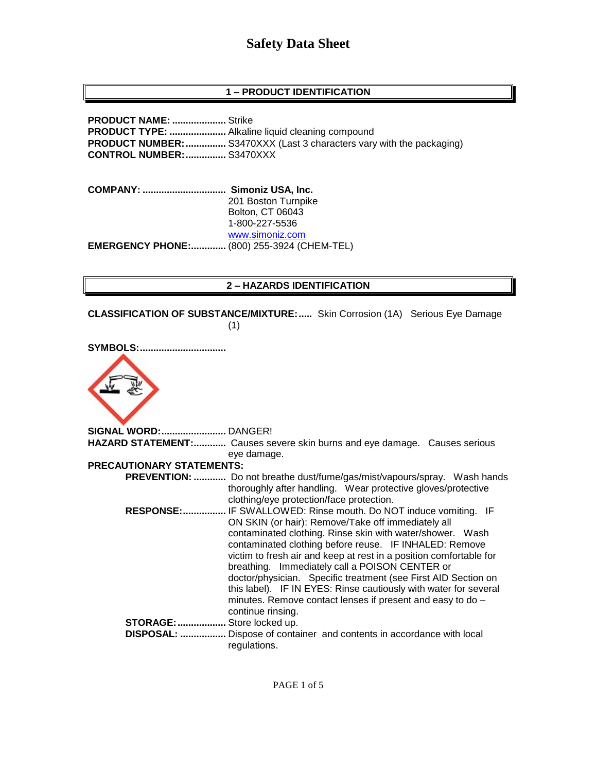# **Safety Data Sheet**

# **1 – PRODUCT IDENTIFICATION**

**PRODUCT NAME: ....................** Strike **PRODUCT TYPE: .....................** Alkaline liquid cleaning compound **PRODUCT NUMBER:...............** S3470XXX (Last 3 characters vary with the packaging) **CONTROL NUMBER:...............** S3470XXX

**COMPANY: ............................... Simoniz USA, Inc.** 201 Boston Turnpike Bolton, CT 06043 1-800-227-5536 [www.simoniz.com](http://www.simoniz.com/) **EMERGENCY PHONE:.............** (800) 255-3924 (CHEM-TEL)

#### **2 – HAZARDS IDENTIFICATION**

**CLASSIFICATION OF SUBSTANCE/MIXTURE:.....** Skin Corrosion (1A) Serious Eye Damage (1)

| <b>SYMBOLS:</b>                  |                                                                                                                                                                                                                                                                                                                                                                                                                                                                                                                                                                                               |
|----------------------------------|-----------------------------------------------------------------------------------------------------------------------------------------------------------------------------------------------------------------------------------------------------------------------------------------------------------------------------------------------------------------------------------------------------------------------------------------------------------------------------------------------------------------------------------------------------------------------------------------------|
| SIGNAL WORD: DANGER!             |                                                                                                                                                                                                                                                                                                                                                                                                                                                                                                                                                                                               |
|                                  | HAZARD STATEMENT: Causes severe skin burns and eye damage. Causes serious                                                                                                                                                                                                                                                                                                                                                                                                                                                                                                                     |
|                                  | eye damage.                                                                                                                                                                                                                                                                                                                                                                                                                                                                                                                                                                                   |
| <b>PRECAUTIONARY STATEMENTS:</b> |                                                                                                                                                                                                                                                                                                                                                                                                                                                                                                                                                                                               |
|                                  | <b>PREVENTION: </b> Do not breathe dust/fume/gas/mist/vapours/spray. Wash hands<br>thoroughly after handling. Wear protective gloves/protective<br>clothing/eye protection/face protection.                                                                                                                                                                                                                                                                                                                                                                                                   |
|                                  | RESPONSE: IF SWALLOWED: Rinse mouth. Do NOT induce vomiting. IF<br>ON SKIN (or hair): Remove/Take off immediately all<br>contaminated clothing. Rinse skin with water/shower. Wash<br>contaminated clothing before reuse. IF INHALED: Remove<br>victim to fresh air and keep at rest in a position comfortable for<br>breathing. Immediately call a POISON CENTER or<br>doctor/physician. Specific treatment (see First AID Section on<br>this label). IF IN EYES: Rinse cautiously with water for several<br>minutes. Remove contact lenses if present and easy to do -<br>continue rinsing. |
| STORAGE:  Store locked up.       | DISPOSAL:  Dispose of container and contents in accordance with local<br>regulations.                                                                                                                                                                                                                                                                                                                                                                                                                                                                                                         |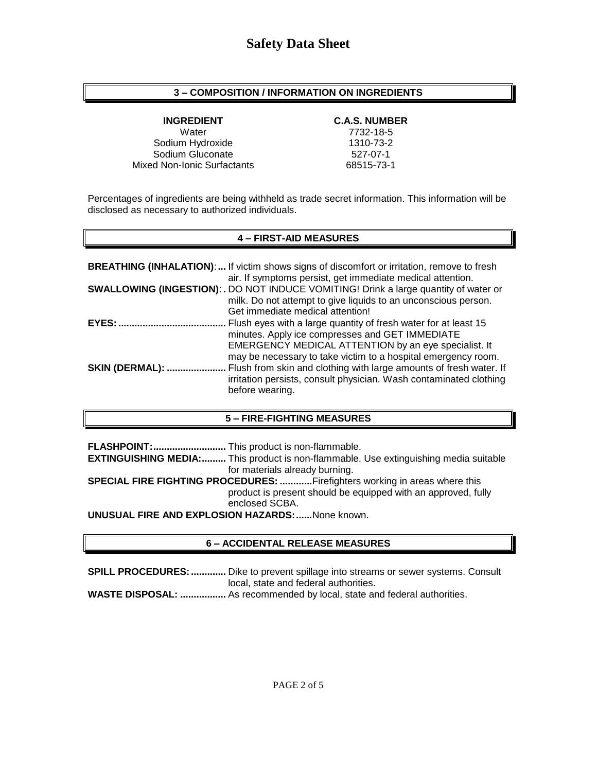### **3 – COMPOSITION / INFORMATION ON INGREDIENTS**

Water 7732-18-5 Sodium Hydroxide 1310-73-2 Sodium Gluconate 527-07-1 Mixed Non-Ionic Surfactants 68515-73-1

#### **INGREDIENT C.A.S. NUMBER**

Percentages of ingredients are being withheld as trade secret information. This information will be disclosed as necessary to authorized individuals.

# **4 – FIRST-AID MEASURES**

|                        | <b>BREATHING (INHALATION):</b> If victim shows signs of discomfort or irritation, remove to fresh<br>air. If symptoms persist, get immediate medical attention.                                                                                                                                                      |
|------------------------|----------------------------------------------------------------------------------------------------------------------------------------------------------------------------------------------------------------------------------------------------------------------------------------------------------------------|
|                        | <b>SWALLOWING (INGESTION): .</b> DO NOT INDUCE VOMITING! Drink a large quantity of water or<br>milk. Do not attempt to give liquids to an unconscious person.<br>Get immediate medical attention!                                                                                                                    |
| EYES:                  | Flush eyes with a large quantity of fresh water for at least 15                                                                                                                                                                                                                                                      |
| <b>SKIN (DERMAL): </b> | minutes. Apply ice compresses and GET IMMEDIATE<br>EMERGENCY MEDICAL ATTENTION by an eye specialist. It<br>may be necessary to take victim to a hospital emergency room.<br>Flush from skin and clothing with large amounts of fresh water. If<br>irritation persists, consult physician. Wash contaminated clothing |
|                        | before wearing.                                                                                                                                                                                                                                                                                                      |

#### **5 – FIRE-FIGHTING MEASURES**

**FLASHPOINT:...........................** This product is non-flammable. **EXTINGUISHING MEDIA:.........** This product is non-flammable. Use extinguishing media suitable for materials already burning. **SPECIAL FIRE FIGHTING PROCEDURES: ............**Firefighters working in areas where this product is present should be equipped with an approved, fully enclosed SCBA. **UNUSUAL FIRE AND EXPLOSION HAZARDS:......**None known.

#### **6 – ACCIDENTAL RELEASE MEASURES**

**SPILL PROCEDURES:.............** Dike to prevent spillage into streams or sewer systems. Consult local, state and federal authorities.

**WASTE DISPOSAL: .................** As recommended by local, state and federal authorities.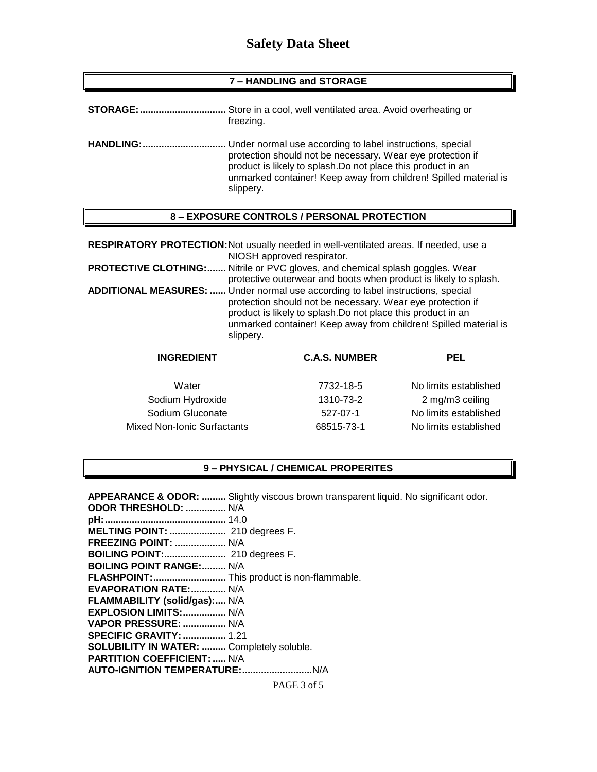# **Safety Data Sheet**

#### **7 – HANDLING and STORAGE**

| <b>STORAGE:</b>  | Store in a cool, well ventilated area. Avoid overheating or<br>freezing.                                                                                                                                                                                                 |
|------------------|--------------------------------------------------------------------------------------------------------------------------------------------------------------------------------------------------------------------------------------------------------------------------|
| <b>HANDLING:</b> | Under normal use according to label instructions, special<br>protection should not be necessary. Wear eye protection if<br>product is likely to splash. Do not place this product in an<br>unmarked container! Keep away from children! Spilled material is<br>slippery. |

#### **8 – EXPOSURE CONTROLS / PERSONAL PROTECTION**

**RESPIRATORY PROTECTION:**Not usually needed in well-ventilated areas. If needed, use a NIOSH approved respirator.

**PROTECTIVE CLOTHING:.......** Nitrile or PVC gloves, and chemical splash goggles. Wear protective outerwear and boots when product is likely to splash. **ADDITIONAL MEASURES: ......** Under normal use according to label instructions, special protection should not be necessary. Wear eye protection if product is likely to splash.Do not place this product in an unmarked container! Keep away from children! Spilled material is slippery.

| <b>INGREDIENT</b>           | <b>C.A.S. NUMBER</b> | PEL                   |
|-----------------------------|----------------------|-----------------------|
| Water                       | 7732-18-5            | No limits established |
| Sodium Hydroxide            | 1310-73-2            | 2 mg/m3 ceiling       |
| Sodium Gluconate            | 527-07-1             | No limits established |
| Mixed Non-Ionic Surfactants | 68515-73-1           | No limits established |

### **9 – PHYSICAL / CHEMICAL PROPERITES**

| <b>APPEARANCE &amp; ODOR: </b> Slightly viscous brown transparent liquid. No significant odor. |
|------------------------------------------------------------------------------------------------|
| ODOR THRESHOLD:  N/A                                                                           |
|                                                                                                |
| MELTING POINT:  210 degrees F.                                                                 |
| <b>FREEZING POINT:  N/A</b>                                                                    |
|                                                                                                |
| <b>BOILING POINT RANGE: N/A</b>                                                                |
| FLASHPOINT: This product is non-flammable.                                                     |
| <b>EVAPORATION RATE: N/A</b>                                                                   |
| FLAMMABILITY (solid/gas): N/A                                                                  |
| EXPLOSION LIMITS:  N/A                                                                         |
| VAPOR PRESSURE:  N/A                                                                           |
| <b>SPECIFIC GRAVITY:  1.21</b>                                                                 |
| SOLUBILITY IN WATER:  Completely soluble.                                                      |
| <b>PARTITION COEFFICIENT:  N/A</b>                                                             |
|                                                                                                |
| PAGE 3 of 5                                                                                    |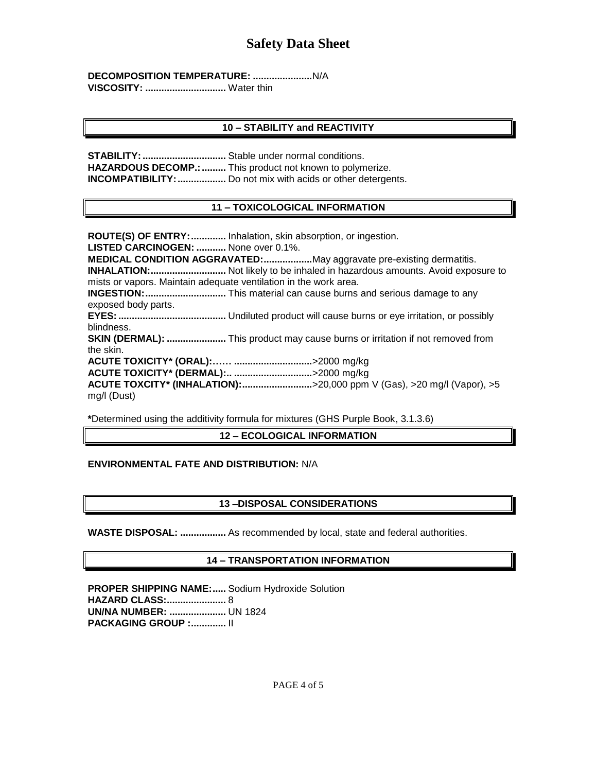**DECOMPOSITION TEMPERATURE: ......................**N/A **VISCOSITY: ..............................** Water thin

# **10 – STABILITY and REACTIVITY**

**STABILITY:...............................** Stable under normal conditions. **HAZARDOUS DECOMP.:.........** This product not known to polymerize. **INCOMPATIBILITY:**.................... Do not mix with acids or other detergents.

# **11 – TOXICOLOGICAL INFORMATION**

**ROUTE(S) OF ENTRY:.............** Inhalation, skin absorption, or ingestion. **LISTED CARCINOGEN: ...........** None over 0.1%. **MEDICAL CONDITION AGGRAVATED:..................**May aggravate pre-existing dermatitis. **INHALATION:............................** Not likely to be inhaled in hazardous amounts. Avoid exposure to mists or vapors. Maintain adequate ventilation in the work area. **INGESTION:..............................** This material can cause burns and serious damage to any exposed body parts. **EYES:........................................** Undiluted product will cause burns or eye irritation, or possibly blindness. **SKIN (DERMAL): ......................** This product may cause burns or irritation if not removed from the skin. **ACUTE TOXICITY\* (ORAL):…… .............................**>2000 mg/kg **ACUTE TOXICITY\* (DERMAL):.. .............................**>2000 mg/kg **ACUTE TOXCITY\* (INHALATION):..........................**>20,000 ppm V (Gas), >20 mg/l (Vapor), >5 mg/l (Dust)

**\***Determined using the additivity formula for mixtures (GHS Purple Book, 3.1.3.6)

# **12 – ECOLOGICAL INFORMATION**

# **ENVIRONMENTAL FATE AND DISTRIBUTION:** N/A

# **13 –DISPOSAL CONSIDERATIONS**

**WASTE DISPOSAL: .................** As recommended by local, state and federal authorities.

# **14 – TRANSPORTATION INFORMATION**

**PROPER SHIPPING NAME:.....** Sodium Hydroxide Solution **HAZARD CLASS:......................** 8 **UN/NA NUMBER: .....................** UN 1824 **PACKAGING GROUP :.............** II